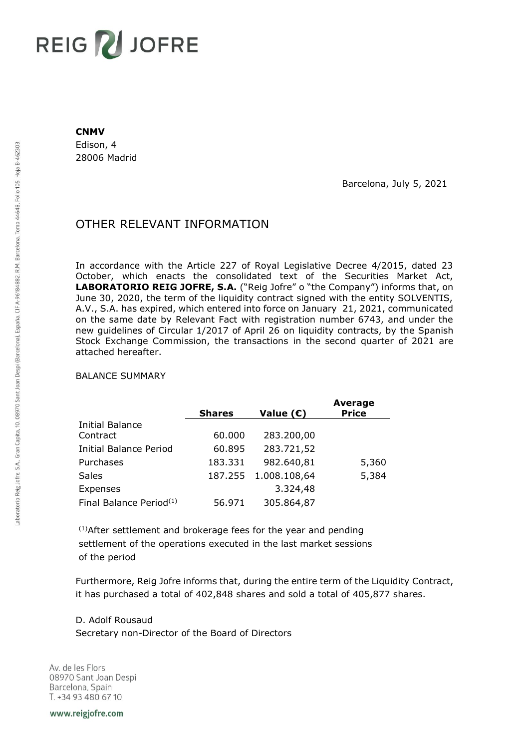## **REIG ZU JOFRE**

## **CNMV**

Edison, 4 28006 Madrid

Barcelona, July 5, 2021

## OTHER RELEVANT INFORMATION

In accordance with the Article 227 of Royal Legislative Decree 4/2015, dated 23 October, which enacts the consolidated text of the Securities Market Act, **LABORATORIO REIG JOFRE, S.A.** ("Reig Jofre" o "the Company") informs that, on June 30, 2020, the term of the liquidity contract signed with the entity SOLVENTIS, A.V., S.A. has expired, which entered into force on January 21, 2021, communicated on the same date by Relevant Fact with registration number 6743, and under the new guidelines of Circular 1/2017 of April 26 on liquidity contracts, by the Spanish Stock Exchange Commission, the transactions in the second quarter of 2021 are attached hereafter.

## BALANCE SUMMARY

|                                     | <b>Shares</b> | Value $(E)$  | <b>Average</b><br><b>Price</b> |
|-------------------------------------|---------------|--------------|--------------------------------|
| <b>Initial Balance</b>              |               |              |                                |
| Contract                            | 60.000        | 283.200,00   |                                |
| <b>Initial Balance Period</b>       | 60.895        | 283.721,52   |                                |
| Purchases                           | 183.331       | 982.640,81   | 5,360                          |
| <b>Sales</b>                        | 187.255       | 1.008.108,64 | 5,384                          |
| Expenses                            |               | 3.324,48     |                                |
| Final Balance Period <sup>(1)</sup> | 56.971        | 305.864,87   |                                |

(1)After settlement and brokerage fees for the year and pending settlement of the operations executed in the last market sessions of the period

Furthermore, Reig Jofre informs that, during the entire term of the Liquidity Contract, it has purchased a total of 402,848 shares and sold a total of 405,877 shares.

D. Adolf Rousaud Secretary non-Director of the Board of Directors

Av. de les Flors 08970 Sant Joan Despi Barcelona, Spain T. +34 93 480 67 10

www.reigjofre.com